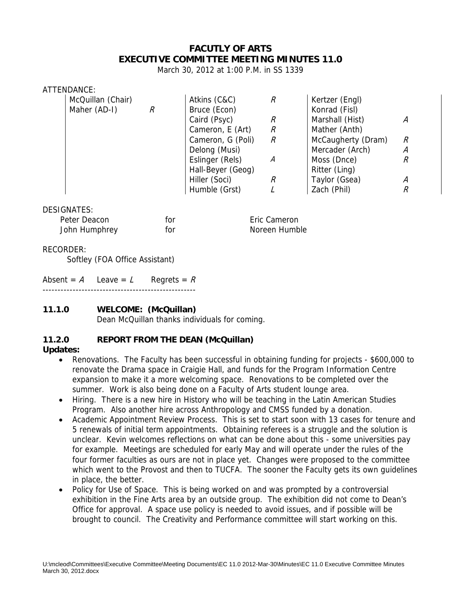# **FACUTLY OF ARTS EXECUTIVE COMMITTEE MEETING MINUTES 11.0**

March 30, 2012 at 1:00 P.M. in SS 1339

#### ATTENDANCE:

| McQuillan (Chair) | Atkins (C&C)      | R | Kertzer (Engl)     |   |
|-------------------|-------------------|---|--------------------|---|
| Maher (AD-I)      | Bruce (Econ)      |   | Konrad (Fisl)      |   |
|                   | Caird (Psyc)      | R | Marshall (Hist)    | A |
|                   | Cameron, E (Art)  | R | Mather (Anth)      |   |
|                   | Cameron, G (Poli) | R | McCaugherty (Dram) | R |
|                   | Delong (Musi)     |   | Mercader (Arch)    | Α |
|                   | Eslinger (Rels)   | А | Moss (Dnce)        | R |
|                   | Hall-Beyer (Geog) |   | Ritter (Ling)      |   |
|                   | Hiller (Soci)     |   | Taylor (Gsea)      | A |
|                   | Humble (Grst)     |   | Zach (Phil)        | R |

#### DESIGNATES:

| Peter Deacon  | for | Eric Cameron  |
|---------------|-----|---------------|
| John Humphrey | for | Noreen Humble |

## RECORDER:

Softley (FOA Office Assistant)

| Absent = A Leave = L Regrets = R |  |
|----------------------------------|--|
|                                  |  |

## **11.1.0 WELCOME: (McQuillan)**

Dean McQuillan thanks individuals for coming.

## **11.2.0 REPORT FROM THE DEAN (McQuillan)**

## **Updates:**

- Renovations. The Faculty has been successful in obtaining funding for projects \$600,000 to renovate the Drama space in Craigie Hall, and funds for the Program Information Centre expansion to make it a more welcoming space. Renovations to be completed over the summer. Work is also being done on a Faculty of Arts student lounge area.
- Hiring. There is a new hire in History who will be teaching in the Latin American Studies Program. Also another hire across Anthropology and CMSS funded by a donation.
- Academic Appointment Review Process. This is set to start soon with 13 cases for tenure and 5 renewals of initial term appointments. Obtaining referees is a struggle and the solution is unclear. Kevin welcomes reflections on what can be done about this - some universities pay for example. Meetings are scheduled for early May and will operate under the rules of the four former faculties as ours are not in place yet. Changes were proposed to the committee which went to the Provost and then to TUCFA. The sooner the Faculty gets its own guidelines in place, the better.
- Policy for Use of Space. This is being worked on and was prompted by a controversial exhibition in the Fine Arts area by an outside group. The exhibition did not come to Dean's Office for approval. A space use policy is needed to avoid issues, and if possible will be brought to council. The Creativity and Performance committee will start working on this.